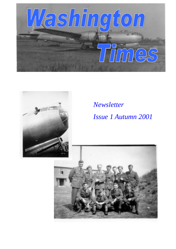

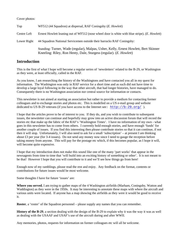#### Cover photos:

| Top         | WF512 (44 Squadron) at dispersal, RAF Coningsby ( <i>E. Howlett</i> )                                                                                               |
|-------------|---------------------------------------------------------------------------------------------------------------------------------------------------------------------|
| Centre Left | Ernest Howlett leaning out of WF512 (nose wheel door is white with blue stripe). (E. Howlett)                                                                       |
| Lower Right | 44 Squadron National Servicemen outside their barracks RAF Coningsby:                                                                                               |
|             | Standing: Turner, Wade (regular), Malpas, Usher, Kelly, Ernest Howlett, Bert Skinner<br>Kneeling: Riley, Ron Henty, Dale, Sturgess (regular). ( <i>E. Howlett</i> ) |

### **Introduction**

This is the first of what I hope will become a regular series of 'newsletters' related to the B-29, or Washington as they were, at least officially, called in the RAF.

As you know, I am researching the history of the Washingtons and have contacted you all in my quest for information. The Washington was only in RAF service for a short time and as such did not have time to develop a large loyal following in the way that other aircraft, that had longer histories, have managed to do. Consequently there is no Washington association nor central source for information or contacts.

This newsletter is not aimed at starting an association but rather to provide a medium for contacting former colleagues and to exchange stories and photos etc. This is modelled on a US e-mail group and website dedicated to US B-29 veterans (if you have access to the Internet see:  $\frac{h \cdot \mathbf{b}}{h \cdot \mathbf{b}}$ ; //b-29.org/ ).

I hope that the articles prove to be of interest to you. If they do, and you wish to contribute to subsequent issues, the newsletter can continue and hopefully may grow into an active discussion forum that will record the stories etc that make up the fabric of the RAF's 'Washington Times'. I have no information of my own - what goes in this newsletter has to come from others. I currently hold enough stories, and have enough 'funds' for another couple of issues. If you find this interesting then please contribute stories so that it can continue, if not then it will stop. Unfortunately, I will also need to ask for a small 'subscription' – at present I am thinking about £3 per year (for 3-4 issues). Do not send any money now since I need to gauge the reception before taking money from anyone. This will pay for the postage etc which, if this becomes popular, as I hope it will, will become quite expensive.

I hope that my introduction does not make this sound like one of the many 'part works' that appear in the newsagents from time to time that 'will build into an exciting history of something or other'. It is not meant to be that! However I hope that you will contribute to it and we'll see how things go from here!

Enough now of my ramblings, please read the rest and enjoy. Any feedback on the format, contents or contributions for future issues would be most welcome.

Some thoughts I have for future 'issues' are:

**Where you served**, I am trying to gather maps of the 4 Washington airfields (Marham, Coningsby, Watton and Waddington) as they were in the 1950s. It may be interesting to annotate these maps with where the aircraft and various units were located. If anyone has a map showing the airfields as they were it would be good to receive it.

**Roster**, a 'roster' of the Squadron personnel – please supply any names that you can remember.

**History of the B-29**, a section dealing with the design of the B-29 to explain why it was the way it was as well as dealing with the USAAF and USAF's use of the aircraft during and after WWII.

Any memories, photos, requests for information on former colleagues etc will all be welcome.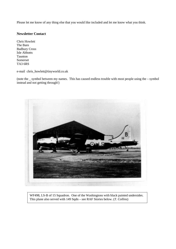Please let me know of any thing else that you would like included and let me know what you think.

#### **Newsletter Contact**

Chris Howlett The Barn Badbury Cross Isle Abbotts Taunton Somerset TA3 6RS

e-mail chris\_howlett@tinyworld.co.uk

(note the \_ symbol between my names. This has caused endless trouble with most people using the – symbol instead and not getting through!)



WF498, LS-B of 15 Squadron. One of the Washingtons with black painted undersides. This plane also served with 149 Sqdn – see RAF Stories below. (*T. Collins*)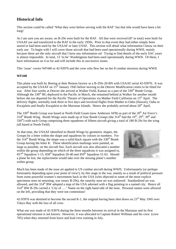# **Historical Info**

This section could be called 'What they were before serving with the RAF' but that title would have been a bit long!

As I am sure you are aware, no B-29s were built for the RAF. All that were received (87 in total) were built for USAAF use and transferred to the RAF in the early 1950s. Prior to that event they had either simply been stored or had been used by the USAAF or later USAF. This section will detail what information I know on their early use. To begin with I will cover those aircraft that had been used operationally during WWII, mainly because these are the only aircraft that I have any information on! Trying to find details of the early SAC years is almost impossible. In total, 13 'to be' Washingtons had been used operationally during WWII. Of these, I have information on 4 so far and will include this in successive issues.

This 'issue' covers WF440 or 42-93976 and the crew who flew her on her 8 combat missions during WWII.

#### **WF440**

This plane was built by Boeing at their Renton factory as a B-29A-20-BN with USAAF serial 42-93976. It was accepted by the USAAF on 15<sup>th</sup> January 1945 before moving to the Denver Modification centre to be fitted for war. After four weeks at Denver she arrived at Walker Field, Kansas as a part of the 330<sup>th</sup> Bomb Group. Although the  $330<sup>th</sup>$  BG deployed to the Pacific in March, she remained behind at Walker for another month before she too departed for the Pacific Theatre of Operations via Mather Field California on 15<sup>th</sup> April. The delivery flights, normally took three to five days and involved flights from Mather to Oahu (Hawaii), Oahu to Kwajalein and finally Kwajalein to the Marianas Islands. Hence she probably arrived about 20<sup>th</sup> April.

The 330<sup>th</sup> Bomb Group was based at North Field Guam (now Anderson AFB) as part of the 20<sup>th</sup> Air Force's  $314<sup>th</sup>$  Bomb Wing. Bomb Wings were made up of four Bomb Groups (the  $314<sup>th</sup>$  had the  $19<sup>th</sup>$ ,  $29<sup>th</sup>$ ,  $39<sup>th</sup>$  and 330<sup>th</sup>) with each Group comprising three squadrons of fifteen aircraft giving a total of 180 B-29s for the wing (all based at North Field).

At that time, the USAAF identified its Bomb Wings by geometric shapes, the Groups by a letter within the shape and squadrons by colours or numbers. For the  $314<sup>th</sup>$  Bomb Wing, the shape was a solid black square with the  $330<sup>th</sup>$  Bomb Group having the letter K. These identification markings were painted, as large as possible, on the aircraft fins. Each aircraft was also allocated a number within the group depending on which of the three squadrons it was assigned to,  $457<sup>th</sup>$  Squadron 1-15,  $458<sup>th</sup>$  Squadron 26-40 and  $459<sup>th</sup>$  Squadron 51-65. Should a plane be lost, the replacement would take over the missing plane's number within group.



Much has been made of the nose art applied to US combat aircraft during WWII. Unfortunately (or perhaps fortunately depending upon your point of view!), by this stage in the war, mainly as a result of political pressure from some powerful women's movements back in the USA (who objected to some of the more explicit specimens seen on returning, war weary B-29s), the raunchy nose art was outlawed. Standardised art was allowed, and the 314<sup>th</sup> BW adopted a map of the USA adorned with a flag pointing to a named city. Hence all 314th BW B-29s carried a 'City of ….' Name on the right hand side of the nose. Personal names were allowed on the left, providing that they were not contentious!

42-93976 was destined to become the second K-1, the original having been shot down on  $23<sup>rd</sup>$  May 1945 over Tokyo Bay with the loss of all crew.

What use was made of 42-93976 during the three months between its arrival in the Marianas and its first operational mission is not known. However, it was allocated to Captain Robert Willman and his crew (crew 705) when they returned from leave and lead crew training in July.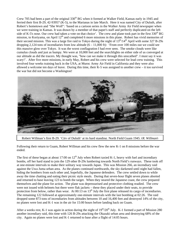Crew 705 had been a part of the original 330<sup>th</sup> BG when it formed at Walker Field, Kansas early in 1945 and ferried their first B-29, 42-93957 (K-5), to the Marianas in late March. Here it was named City of Duluth, after Robert's hometown and "She Wolf": 'based on a cartoon series in the Walker Army Air Field newspaper when we were training in Kansas. It was drawn by a member of that paper's staff and perfectly duplicated on the left side of K-5's nose. Our crew had taken a vote on that choice'. The crew and plane took part in the first  $330<sup>th</sup> BG$ mission, to Koriyama, on April 12<sup>th</sup> and completed 6 more missions in this plane. Robert has vivid memories of their second mission. This was a large fire raid to Tokyo during the night of  $13<sup>th</sup>/14<sup>th</sup>$  April with some 327 B-29s dropping 2,124 tons of incendiaries from low altitude  $(6 - 11,000)$  ft): 'From over 100 miles out we could see this massive glow over Tokyo. It was the worst conflagration I had ever seen. The smoke clouds were like cumulus clouds and just as bumpy. We were at 10,000 feet and the searchlights on either side of us converged at our altitude as did the tracers. My thought was, "how can we make it through this unscathed". I must say it was scary!'. After five more missions, in early May, Robert and his crew were selected for lead crew training. This involved four weeks training back in the USA, at Muroc Army Air Field in California and they were also allowed a welcome ten days of leave. During this time, their K-5 was assigned to another crew – it too survived the war but did not become a Washington!



Robert Willman's first B-29, 'City of Duluth' at its hard standing, North Field Guam 1945. (*R. Willman*)

Following their return to Guam, Robert Willman and his crew flew the new K-1 on 8 missions before the war ended.

The first of these began at about 17:00 on  $12<sup>th</sup>$  July when Robert taxied K-1, heavy with fuel and incendiary bombs, off her hard stand to join the 129 other B-29s lumbering towards North Field's runways. These took off at one-minute intervals to make their solitary way towards Japan. This was Mission 266, an incendiary raid against the Uwa Juma urban area. As the planes continued northwards, the sky darkened until night had fallen, hiding the bombers from each other and, hopefully, the Japanese defenders. The crew settled down to while away the time chatting and eating their picnic style meals. During that seven-hour flight seven planes aborted and returned to base leaving 123 to bomb the target. When they neared the Japanese coast, the crew prepared themselves and the plane for action. The plane was depressurised and protective clothing readied. The crew were not issued with helmets but there were flak jackets – these they placed under their seats, to provide protection from below, rather than wear. At  $00:13$  on  $13<sup>th</sup>$  July the first plane released its cargo of incendiaries. The remaining 122 followed at approximately one-minute intervals with the last bombing at 02:26. The raid dropped some 873 tons of incendiaries from altitudes between 10 and 16,400 feet and destroyed 14% of the city, no planes were lost and K-1 was in the air for 15:00 hours before landing back on Guam.

After a weeks rest, K-1 was again in action during the night of  $19<sup>th</sup>/20<sup>th</sup>$  July. K-1 formed a part of Mission 280 another incendiary raid, this time with 126 B-29s attacking the Okazaki urban area and destroying 68% of the city. Again no planes were lost and K-1 returned to base after a flight of 14:05 hours.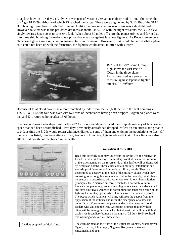Five days later on Tuesday 24<sup>th</sup> July, K-1 was part of Mission 289, an incendiary raid to Tsu. This time, the  $314<sup>th</sup>$  got 81 B-29s airborne of which 75 reached the target. These were augmented by 38 B-29s of the 313<sup>th</sup> Bomb Wing flying from North Field Tinian. Unlike the previous two missions this was a daylight raid. However, take off was in the pre-dawn darkness at about 04:00. As with the night missions, the B-29s flew singly towards Japan so as to conserve fuel. When about 50 miles off shore the planes orbited and formed up into three ship bombing formations as a protective measure against Japanese fighters. As Robert remembers 'Japanese fighters were reluctant to engage B-29s in formation. However if flak would hit and disable a plane so it could not keep up with the formation, the fighters would attack it, often with success'.



B-29s of the  $29<sup>th</sup>$  Bomb Group high above the vast Pacific Ocean in the three plane formations used as a protective measure against Japanese fighter attacks. (*R. Willman*)

Because of total cloud cover, the aircraft bombed by radar from  $15 - 22,600$  feet with the first bombing at 11:27. By 11:54 the raid was over with 578 tons of incendiaries having been dropped. Again no planes were lost and K-1 returned home after 15:05 hours.

The next raid was a new departure for the  $20<sup>th</sup>$  Air Force and demonstrated the complete mastery of Japanese air space that had been accomplished. Two days previously aircraft had dropped leaflets on ten cities stating that in two days time the B-29s would return with incendiaries to some of them and enticing the populations to flee. Of the ten cities listed, five were attacked, Tsu, Aomori, Ichinomiya, Ujiyamada and Ogaki. Uwa Jima was also attacked although not mentioned in the leaflet.

TEAT THE EAST-THE STAANGERED AA HERACC  $-8 + 6 + 8$   $-$ TT AN INVASION TRIANGER<br>LE MA - ENGELS TRICETION<br>LE MA - ENGELS TRICETION<br>MA - ENGELS - LINGUES<br>MA - LE MAGERANT - LEIRETEN<br>LES RA - MAGERANT - LEIRETEN 15人の中央の連貫情報局 各の本には、「コムがそり時間時期」のはで、<br>本社の本当社、公立社会にとばればので、第一の基地<br>おすのを考える、公立社会にとは取得して基づき、<br>おり、これは、「おりのこの事件はおりで、まさる<br>これら<del>には、「そのには、年齢とす 事</del>内 てんど<br>メイルかいで、そのには、年齢とす 事内 てんど<br>メイルかいで、そのには、年齢とす 事内 てんど (End. 16

Leaflets supplied by Mark Little

#### **Translation of the leaflet**

Read this carefully as it may save your life or the life of a relative or friend. In the next few days, the military installations in four or more of the cities named on the reverse side of this leaflet will be destroyed by American bombs. These cities contain military installations and workshops of factories which produce military goods. They are determined to destroy all the tools of the military clique which they are using to prolong this useless war. But, unfortunately, bombs have no eyes, so in accordance with American well-known humanitarian principles, the American air force which does not wish to injure innocent people, now gives you warning to evacuate the cities named and save your lives. America is not fighting the Japanese people but is fighting the military group which has enslaved the Japanese people. The peace which America will bring will free the people from the oppression of the military and mean the emergence of a new and better Japan. You can restore peace by demanding new and good leaders who will end the war. We cannot promise that only these cities will be among those attacked but at least four will be with high explosives incendiary bombs on the night of 28-July 1945, so, heed this warning and evacuate these cities.

The cities printed on the front of the leaflet are Aomori, Nishinomiya, Ogaki, Kurvme, Ichinomiya, Nagaika, Koriyama, Kakodate, Ujiyamada, and Tsu.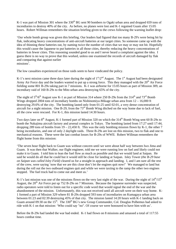K-1 was part of Mission 301 where the 330<sup>th</sup> BG sent 90 bombers to Ogaki urban area and dropped 659 tons of incendiaries to destroy 40% of the city. As before, no planes were lost and K-1 regained Guam after 15:05 hours. Robert Willman remembers the situation briefing given to the crews following the warning leaflet drop:

'Our whole bomb group was given this briefing. Our leaders had figured that too many B-29's were being hit by flak, indicating heavy concentrations of anti-aircraft batteries at our target cities. So someone came up with the idea of thinning these batteries out, by naming twice the number of cities that we may or may not hit. Hopefully this would cause the Japanese to put batteries in all those cities, thereby reducing the heavy concentrations of batteries in fewer cities. This reasoning sounded good to us and I never heard a complaint against the idea. I guess there is no way to prove that this worked, unless one examined the records of aircraft damaged by flak and comparing that against earlier missions'.

The low casualties experienced on those raids seem to have vindicated the policy.

K-1's next mission came three days later during the night of  $1<sup>st</sup>/2<sup>nd</sup>$  August. The  $1<sup>st</sup>$  August had been designated Army Air Force day and the leaders wanted to put up a strong force. This they managed with the 20<sup>th</sup> Air Force fielding some 801 B-29s taking part in 7 missions. K-1 was airborne for 15:05 hours as part of Mission 309, an incendiary raid of 160 B-29s to the Mito urban area destroying 65% of the city.

The night of  $5<sup>th</sup>/6<sup>th</sup>$  August saw K-1 as part of Mission 314 where 250 B-29s from the 314<sup>th</sup> and 73<sup>rd</sup> Bomb Wings dropped 2004 tons of incendiary bombs on Nishinomiya-Mikage urban area from 12 – 16,000 ft destroying 29.6% of the city. The bombing lasted only from 01:25 until 02:01, a very dense concentration of aircraft for a night mission. One B-29, from the  $73<sup>rd</sup>$  Bomb Wing ditched on the way home due to lack of fuel, all the crew were rescued. For K-1, this mission lasted 14:30 hours.

Two days later on 8<sup>th</sup> August, K-1 formed part of Mission 320 on which the 314<sup>th</sup> Bomb Wing sent 60 B-29s to bomb the Nakajima aircraft factory and arsenal complex in Tokyo. The bombing lasted from 17:27 until 17:44, dropping 289 tons of bombs from  $19 - 22,450$  ft. This was the only bombing mission flown by K-1, the other 7 being incendiaries, and one of only 2 daylight raids. Three B-29s are lost on this mission, two to flak and one to mechanical reasons. These were the last combat losses for B-29s of WWII. Robert Willman remembers the flight home from this mission:

'The seven hour flight back to Guam was without concern until we were about half way between Iwo Jima and Guam. It was then that Walker, our flight engineer, told me we were running low on fuel and likely could not make it to Guam. I told him to lean the fuel flow as much as possible and that we would land at Saipan. He said he would do all that he could but it would still be close for landing at Saipan. Isley Tower *(the B-29 base on Saipan was called Isley Field)* cleared us for a straight in approach and landing. I, and I am sure all the rest of the crew, were saying 'now that we are this close don't let the engines quit now!' We managed to land but during the roll out the two outboard engines quit and while we were taxiing to the ramp the other two engines stopped. The fuel truck had to come out and meet us.'

K-1's last mission was one of the missions flown on the very last night of the war. During the night of  $14<sup>th</sup>/15<sup>th</sup>$ August, the 20th Air Force put up 752 B-29s on 7 Missions. Because the Japanese surrender was suspected, radio operators were told to listen out for a specific code word that would signal the end of the war and the abandonment of the mission. Unfortunately, this was not received until all aircraft were on their way home. K-1 formed a part of Mission 329 where 81 B-29s dropped 593 tons of incendiaries on Kumagaya urban area between 01:23 and 02:39 destroying 45% of that city. The mission lasted 14:20 hours with K-1 landing back on Guam around 09:30 on the 15<sup>th</sup>. The 330<sup>th</sup> BG's new Group Commander, Col. Douglas Polhemus had asked to ride with K-1 on that mission: 'Who could say "no". Of course we were honoured to have him with us'.

Before the B-29s had landed the war had ended. K-1 had flown on 8 missions and amassed a total of 117:55 hours combat time.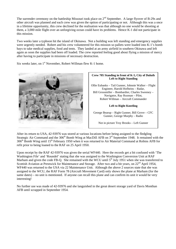The surrender ceremony on the battleship Missouri took place on  $2<sup>nd</sup>$  September. A large flyover of B-29s and other aircraft was planned and each crew was given the option of participating or not. Although this was a once in a lifetime opportunity, this crew declined for the realisation was that although no one would be shooting at them, a 3,000 mile flight over an unforgiving ocean could have its problems. Hence K-1 did not participate in this mission.

Two weeks later a typhoon hit the island of Okinawa. Not a building was left standing and emergency supplies were urgently needed. Robert and his crew volunteered for this mission so pallets were loaded into K-1's bomb bays to take medical supplies, food and tents. They landed at an army airfield in southern Okinawa and left again as soon the supplies had been off loaded. The crew reported feeling good about flying a mission of mercy after having to participate in missions of necessary destruction.

Six weeks later, on 1<sup>st</sup> November, Robert Willman flew K-1 home.



# **Crew 705 Standing in front of K-5, City of Duluth Left to Right Standing** Ollie Eubanks – Tail Gunner, Johnnie Walker – Flight Engineer, Harold Hofheins – Radar, Bill Grossmiller – Bombardier, Charles Sweeney – Navigator, Ray Rozman – Pilot, Robert Willman – Aircraft Commander **Left to Right Kneeling** George Bearup – Right Gunner, Bill Grove – CFC Gunner, George Murphy – Radio Not in picture Troy Brooks – Left Gunner

After its return to USA, 42-93976 was stored at various locations before being assigned to the fledgling Strategic Air Command and the  $306<sup>th</sup>$  Bomb Wing at MacDill AFB on  $3<sup>rd</sup>$  September 1948. It remained with the 306<sup>th</sup> Bomb Wing until 15<sup>th</sup> February 1950 when it was returned to Air Material Command at Robins AFB for refit prior to being loaned to the RAF on 25 April 1950.

Upon receipt by the RAF 42-93976 was given the serial WF440. Here the records get a bit confused with 'The Washington File' and 'Roundel' stating that she was assigned to the Washington Conversion Unit at RAF Marham and given the code FB-Q. She remained with the WCU until  $5<sup>th</sup>$  July 1951 when she was transferred to Scottish Aviation at Prestwick for Maintenance and Storage. After two and a bit years, on 22<sup>nd</sup> April 1954, WF440 was returned to the USA via 22 Maintenance Unit. Although the above 2 sources state that she was assigned to the WCU, the RAF Form 78 (Aircraft Movement Card) only shows the plane at Marham (for the same dates) – no unit is mentioned. If anyone can recall this plane and can confirm its unit it would be very interesting!

No further use was made of 42-93976 and she languished in the great desert storage yard of Davis Monthan AFB until scrapped in September 1954.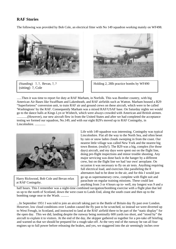# **RAF Stories**

The following was provided by Bob Cole, an electrical fitter with No 149 squadron working mainly on WF498.



<sup>(</sup>Standing) ?, ?, Bevan, ?, ? (sitting) ?, Cole



......Then it was time to report for duty at RAF Marham, in Norfolk. This was Bomber country, with big American Air Bases like Swaffham and Lakenheath, and RAF airfields such as Watton. Marham housed a B29 "Superfortress" conversion unit, to train RAF air and ground crews on these aircraft, which were to be called 'Washingtons' by the RAF. Consequently Marham was a mixed RAF/USAF base. On Saturday nights we would go to the dance halls at Kings Lyn or Wisbech, which were always crowded with American and British airmen. .............(However), our new aircraft flew in from the United States and after we had completed the acceptance testing we formed our squadron, No.149, and with our eight B29's moved up to RAF Coningsby, in Lincolnshire. .............



Harry Rickwood, Bob Cole and Bevan relax at RAF Coningsby.

Life with 149 squadron was interesting. Coningsby was typical Lincolnshire. Flat all the way to the North Sea, and often beset by rain or snow laden clouds sweeping in from the coast. Our nearest little village was called New York and the nearest big town Boston. (really!). The B29 was a big, complex (for those days) aircraft, and my days were spent out on the flight line, doing pre-flight inspections and minor trouble shooting. Any major servicing was done back in the hanger by a different crew, but on the flight line we had 'our own' aeroplane. On occasion it was necessary to fly on air tests. Anything requiring full electrical load, and exercises like paralleling the 8 alternators had to be done in the air, and for this I would just go up as supernumerary crew, complete with flight suit and parachute on regular training missions. These could last anything from 3 or 4 hours up to- well, my longest was 9 and a

half hours. This I remember was a night-time combined navigation/bombing exercise with a flight plan that led us up to the north of Scotland, down the west coast to Lands End, along the south coast and then up to the bombing range near to the Wash. ..........

...In September 1951 I was told to join an aircraft taking part in the Battle of Britain day fly past over London. However, low cloud conditions over London caused the fly past to be scratched, so instead we were diverted up to West Freugh, in Scotland, and instructed to land at the RAF airfield there to be part of the "static display" for the open day. This we did, landing despite the runway being nominally 600 yards too short, and "stood by" the aircraft to explain it to visitors. At the end of the day, the skipper gathered us together for a pre-take off briefing and warned us that we should be prepared for a rough take-off. At the very end of the runway he ran all four engines up to full power before releasing the brakes, and yes, we staggered into the air seemingly inches over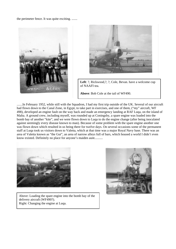the perimeter fence. It was quite exciting. .......





**Left**: ?, Rickwood,?, ?, Cole, Bevan. have a welcome cup of NAAFI tea.

**Above**: Bob Cole at the tail of WF490.

.......In February 1952, while still with the Squadron, I had my first trip outside of the UK. Several of our aircraft had flown down to the Canal Zone, in Egypt, to take part in exercises, and one of them, ("my" aircraft, WF 498), developed an engine fault on the way back and made an emergency landing at RAF Luqa, on the island of Malta. A ground crew, including myself, was rounded up at Coningsby, a spare engine was loaded into the bomb bay of another "kite", and we were flown down to Luqa to do the engine change (after being inoculated against seemingly every disease known to man). Because of some problem with the spare engine another one was flown down which resulted in us being there for twelve days. On several occasions some of the permanent staff at Luqa took us visitors down to Valetta, which at that time was a major Royal Navy base. There was an area of Valetta known as "the Gut", an area of narrow alleys full of bars, which housed a world I didn't even know existed. Definitely no place for anyone's maiden aunt..........



Above: Loading the spare engine into the bomb bay of the delivery aircraft (WF490?). Right: Changing the engine at Luqa.

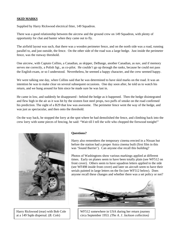### **SKID MARKS**

Supplied by Harry Rickwood electrical fitter, 149 Squadron.

There was a good relationship between the aircrew and the ground crew on 149 Squadron, with plenty of opportunity for chat and banter when they came out to fly.

The airfield layout was such, that there was a wooden perimeter fence, and on the north side was a road, running parallel to, and just outside, the fence. On the other side of the road was a large hedge. Just inside the perimeter fence, was the runway threshold.

One aircrew, with Captain Collins, a Canadian, as skipper, DeBange, another Canadian, as nav, and if memory serves me correctly, a Polish Sgt., as co-pilot. He couldn't go up through the ranks, because he could not pass the English exam, or so I understood. Nevertheless, he seemed a happy character, and the crew seemed happy.

We were talking one day, when Collins said that he was determined to have skid marks on the road. It was an intention he was to make clear on several subsequent occasions. One day soon after, he told us to watch his return, and we hung around for him since he made sure he was last in.

He came in low, and suddenly he disappeared - behind the hedge as it happened. Then the hedge disintegrated and flew high in the air as it was hit by the sixteen foot steel props, two puffs of smoke on the road confirmed his prediction. The sight of a B29 that low was awesome. The perimeter fence went the way of the hedge, and was just as spectacular, and then onto the threshold.

On the way back, he stopped the lorry at the spot where he had demolished the fence, and climbing back into the crew lorry with some pieces of fencing, he said: "Wait till I tell the wife who chopped the firewood tonight!"



Harry Rickwood (rear) with Bob Cole at a 149 Sqdn dispersal. (*B. Cole*)

#### **Questions?**

Harry also remembers the temporary cinema erected in a Nissan hut before the station had a proper Astra cinema built (first film in this was 'Sound Barrier'). Can anyone else recall this building?

Photos of Washingtons show various markings applied at different times. Early on planes seem to have been totally plain (see WF512 on front cover). Others seem to have squadron letters applied to the side (see WF498 inside front cover) and later on aircraft seem to have their serials painted in large letters on the fin (see WF512 below). Does anyone recall these changes and whether there was a set policy or not?



WF512 somewhere in USA during her return journey circa September 1953. *(The A. J. Jackson collection)*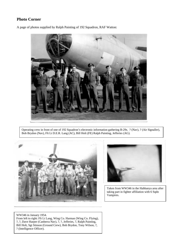# **Photo Corner**

A page of photos supplied by Ralph Painting of 192 Squadron, RAF Watton:



Operating crew in front of one of 192 Squadron's electronic information gathering B-29s. ? (Nav), ? (Air Signaller), Bob Brydon (Nav), Flt Lt D.E.R. Lang (AC), Bill Holt (FE) Ralph Painting, Jefferies (AG).





Taken from WW346 in the Habbanya area after taking part in fighter affiliation with 6 Sqdn Vampires.

WW346 in January 1954. From left to right: Flt Lt Lang, Wing Co. Harman (Wing Co. Flying), ?, ?, Dave Harper (Canberra Nav), ?, ?, Jefferies, ?, Ralph Painting, Bill Holt, Sgt Stinson (Ground Crew), Bob Brydon, Tony Wilson, ?, ? (Intelligence Officer).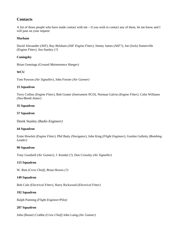# **Contacts**

A list of those people who have made contact with me – if you wish to contact any of them, let me know and I will pass on your request:

#### **Marham**

David Alexander *(ASF),* Ray Belsham *(ASF Engine Fitter),* Jimmy James *(ASF?),* Joe (Jock) Somerville *(Engine Fitter),* Jim Stanley *(?)*

#### **Coningsby**

Brian Gennings *(Ground Maintenance Hanger)*

#### **WCU**

Tom Pawson *(Air Signaller)*, John Forster *(Air Gunner)*

#### **15 Squadron**

Terry Collins *(Engine Fitter),* Bob Goater *(Instrument NCO),* Norman Galvin *(Engine Fitter),* Colin Williams *(Nav/Bomb Aimer)*

#### **35 Squadron**

#### **57 Squadron**

Derek Stanley *(Radio Engineer)*

#### **44 Squadron**

Ernie Howlett *(Engine Fitter),* Phil Batty *(Navigator)*, John King *(Flight Engineer)*, Gordon Galletty *(Bombing Leader)*

#### **90 Squadron**

Tony Goodsell *(Air Gunner),* J. Kendal *(?),* Don Crossley *(Air Signaller)*

#### **115 Squadron**

W. Butt *(Crew Chief),* Brian Howes *(?)*

#### **149 Squadron**

Bob Cole *(Electrical Fitter),* Harry Rickwood *(Electrical Fitter)*

#### **192 Squadron**

Ralph Painting *(Flight Engineer/Pilot)*

#### **207 Squadron**

John (Buster) Crabbe *(Crew Chief)* John Laing *(Air Gunner)*